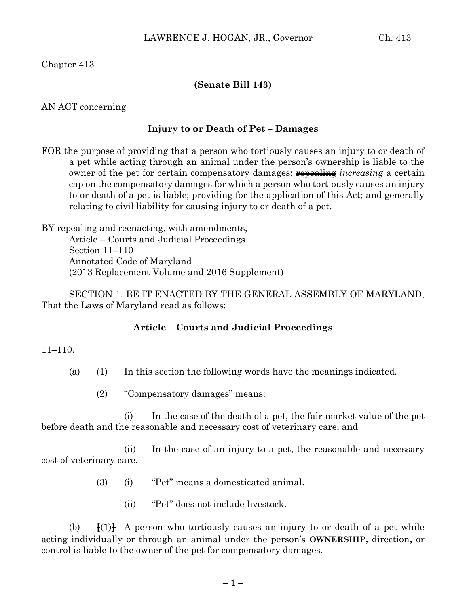Chapter 413

## **(Senate Bill 143)**

AN ACT concerning

## **Injury to or Death of Pet – Damages**

FOR the purpose of providing that a person who tortiously causes an injury to or death of a pet while acting through an animal under the person's ownership is liable to the owner of the pet for certain compensatory damages; **repealing** *increasing* a certain cap on the compensatory damages for which a person who tortiously causes an injury to or death of a pet is liable; providing for the application of this Act; and generally relating to civil liability for causing injury to or death of a pet.

BY repealing and reenacting, with amendments, Article – Courts and Judicial Proceedings Section 11–110 Annotated Code of Maryland (2013 Replacement Volume and 2016 Supplement)

SECTION 1. BE IT ENACTED BY THE GENERAL ASSEMBLY OF MARYLAND, That the Laws of Maryland read as follows:

## **Article – Courts and Judicial Proceedings**

11–110.

- (a) (1) In this section the following words have the meanings indicated.
	- (2) "Compensatory damages" means:

(i) In the case of the death of a pet, the fair market value of the pet before death and the reasonable and necessary cost of veterinary care; and

(ii) In the case of an injury to a pet, the reasonable and necessary cost of veterinary care.

- (3) (i) "Pet" means a domesticated animal.
	- (ii) "Pet" does not include livestock.

(b)  $\mathbf{F}(1)\mathbf{F}$  A person who tortiously causes an injury to or death of a pet while acting individually or through an animal under the person's **OWNERSHIP,** direction**,** or control is liable to the owner of the pet for compensatory damages.